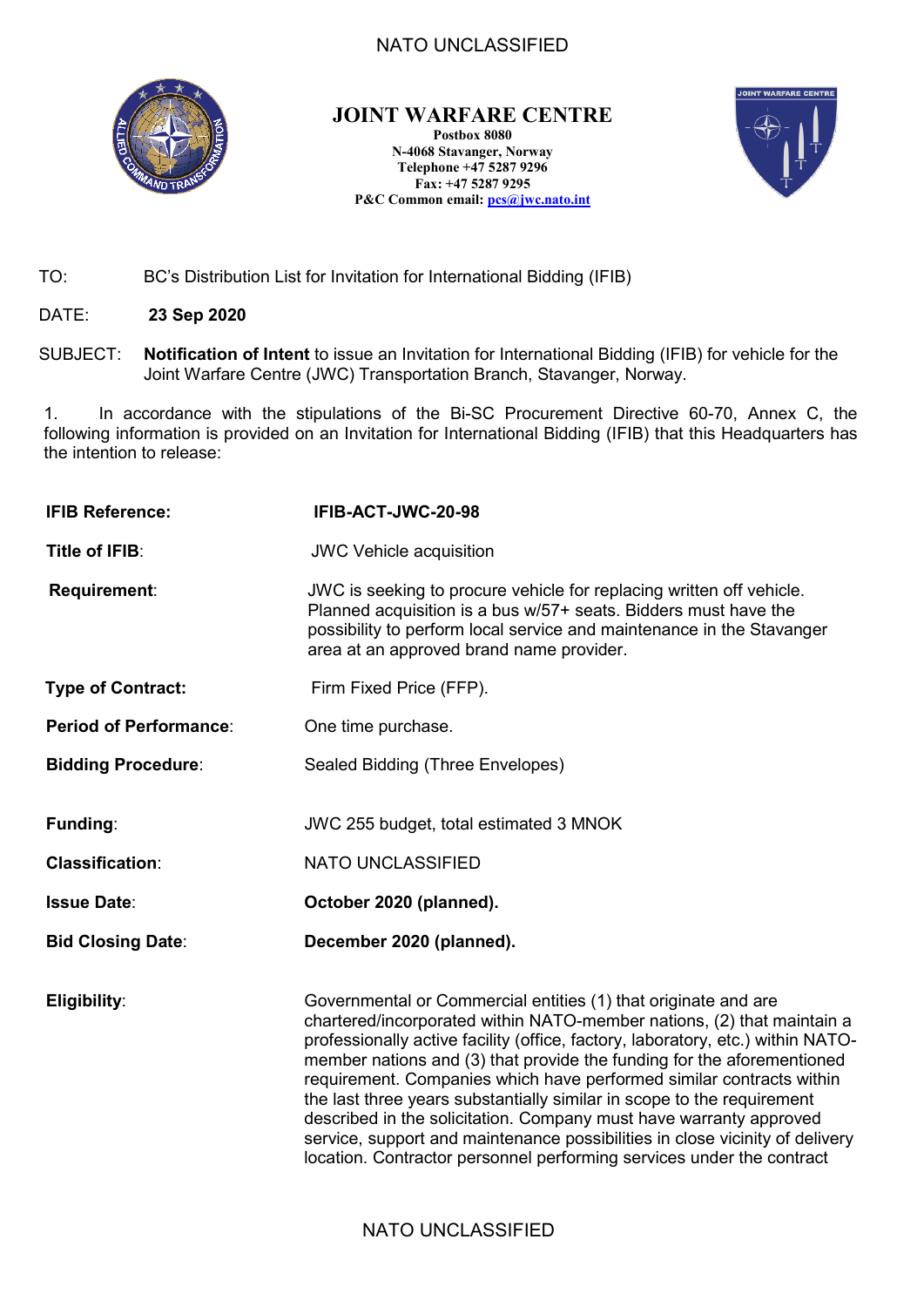### NATO UNCLASSIFIED



## **JOINT WARFARE CENTRE**

**Postbox 8080 N-4068 Stavanger, Norway Telephone +47 5287 9296 Fax: +47 5287 9295 P&C Common email: [pcs@jwc.nato.int](mailto:pcs@jwc.nato.int)**



- TO: BC's Distribution List for Invitation for International Bidding (IFIB)
- DATE: **23 Sep 2020**
- SUBJECT: **Notification of Intent** to issue an Invitation for International Bidding (IFIB) for vehicle for the Joint Warfare Centre (JWC) Transportation Branch, Stavanger, Norway.

1. In accordance with the stipulations of the Bi-SC Procurement Directive 60-70, Annex C, the following information is provided on an Invitation for International Bidding (IFIB) that this Headquarters has the intention to release:

| <b>IFIB Reference:</b>             | IFIB-ACT-JWC-20-98                                                                                                                                                                                                                                                                                                                                                                                                                                                                                                                                                                                                                                                                     |  |
|------------------------------------|----------------------------------------------------------------------------------------------------------------------------------------------------------------------------------------------------------------------------------------------------------------------------------------------------------------------------------------------------------------------------------------------------------------------------------------------------------------------------------------------------------------------------------------------------------------------------------------------------------------------------------------------------------------------------------------|--|
| Title of IFIB:                     | <b>JWC Vehicle acquisition</b>                                                                                                                                                                                                                                                                                                                                                                                                                                                                                                                                                                                                                                                         |  |
| Requirement:                       | JWC is seeking to procure vehicle for replacing written off vehicle.<br>Planned acquisition is a bus w/57+ seats. Bidders must have the<br>possibility to perform local service and maintenance in the Stavanger<br>area at an approved brand name provider.                                                                                                                                                                                                                                                                                                                                                                                                                           |  |
| <b>Type of Contract:</b>           | Firm Fixed Price (FFP).                                                                                                                                                                                                                                                                                                                                                                                                                                                                                                                                                                                                                                                                |  |
| <b>Period of Performance:</b>      | One time purchase.                                                                                                                                                                                                                                                                                                                                                                                                                                                                                                                                                                                                                                                                     |  |
| <b>Bidding Procedure:</b>          | Sealed Bidding (Three Envelopes)                                                                                                                                                                                                                                                                                                                                                                                                                                                                                                                                                                                                                                                       |  |
| Funding:<br><b>Classification:</b> | JWC 255 budget, total estimated 3 MNOK<br><b>NATO UNCLASSIFIED</b>                                                                                                                                                                                                                                                                                                                                                                                                                                                                                                                                                                                                                     |  |
| <b>Issue Date:</b>                 | October 2020 (planned).                                                                                                                                                                                                                                                                                                                                                                                                                                                                                                                                                                                                                                                                |  |
| <b>Bid Closing Date:</b>           | December 2020 (planned).                                                                                                                                                                                                                                                                                                                                                                                                                                                                                                                                                                                                                                                               |  |
| Eligibility:                       | Governmental or Commercial entities (1) that originate and are<br>chartered/incorporated within NATO-member nations, (2) that maintain a<br>professionally active facility (office, factory, laboratory, etc.) within NATO-<br>member nations and (3) that provide the funding for the aforementioned<br>requirement. Companies which have performed similar contracts within<br>the last three years substantially similar in scope to the requirement<br>described in the solicitation. Company must have warranty approved<br>service, support and maintenance possibilities in close vicinity of delivery<br>location. Contractor personnel performing services under the contract |  |

### NATO UNCLASSIFIED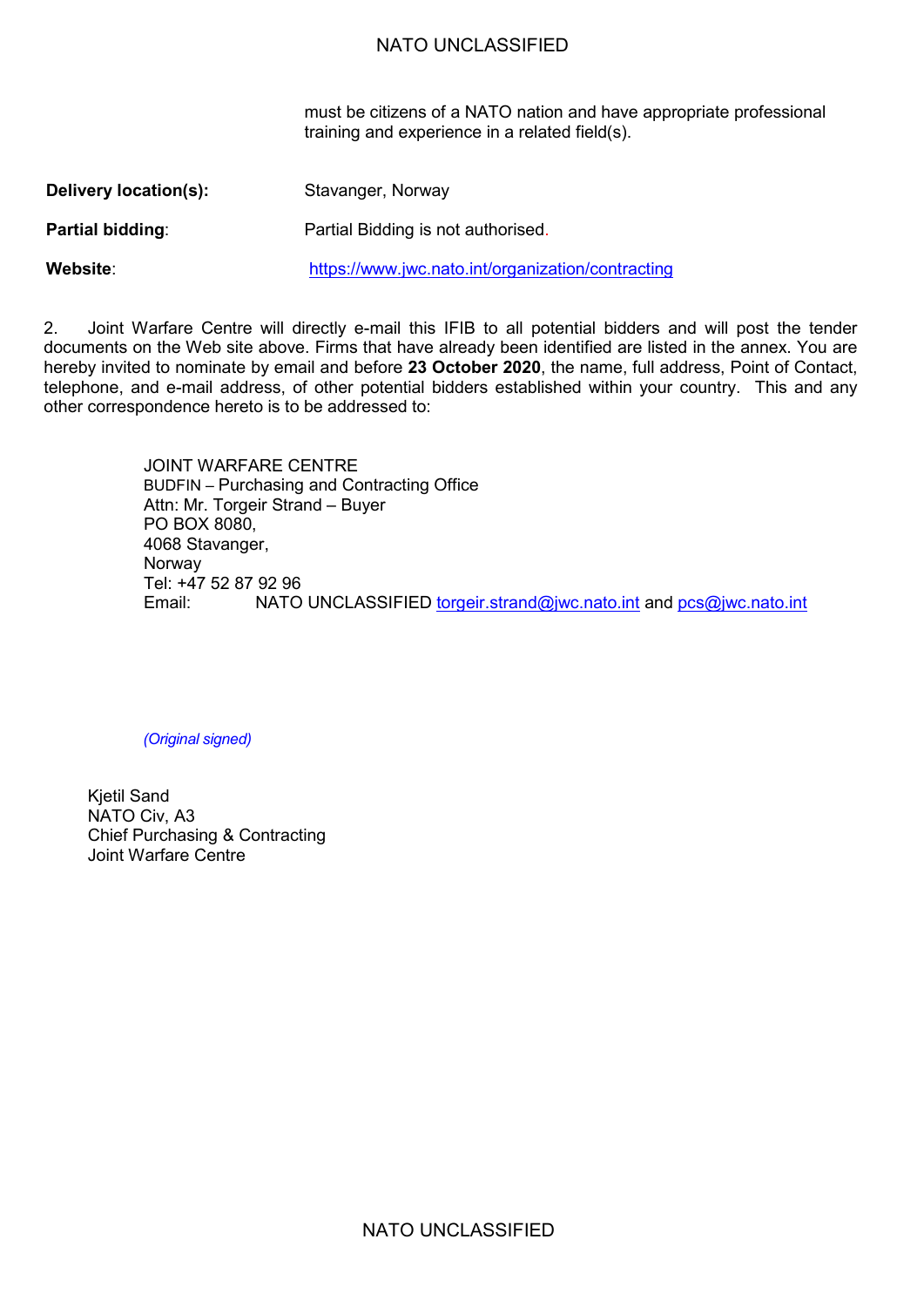#### NATO UNCLASSIFIED

must be citizens of a NATO nation and have appropriate professional training and experience in a related field(s).

| Delivery location(s):   | Stavanger, Norway                                 |
|-------------------------|---------------------------------------------------|
| <b>Partial bidding:</b> | Partial Bidding is not authorised.                |
| Website:                | https://www.jwc.nato.int/organization/contracting |

2. Joint Warfare Centre will directly e-mail this IFIB to all potential bidders and will post the tender documents on the Web site above. Firms that have already been identified are listed in the annex. You are hereby invited to nominate by email and before **23 October 2020**, the name, full address, Point of Contact, telephone, and e-mail address, of other potential bidders established within your country. This and any other correspondence hereto is to be addressed to:

> JOINT WARFARE CENTRE BUDFIN – Purchasing and Contracting Office Attn: Mr. Torgeir Strand – Buyer PO BOX 8080, 4068 Stavanger, Norway Tel: +47 52 87 92 96 NATO UNCLASSIFIED [torgeir.strand@jwc.nato.int](mailto:torgeir.strand@jwc.nato.int) and [pcs@jwc.nato.int](mailto:pcs@jwc.nato.int)

*(Original signed)*

Kjetil Sand NATO Civ, A3 Chief Purchasing & Contracting Joint Warfare Centre